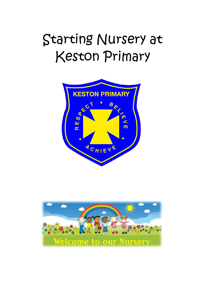# Starting Nursery at Keston Primary



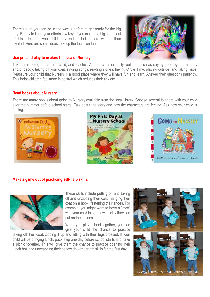There's a lot you can do in the weeks before to get ready for the big day. But try to keep your efforts low-key. If you make too big a deal out of this milestone, your child may end up being more worried than excited. Here are some ideas to keep the focus on fun.

# **Use pretend play to explore the idea of Nursery**

Take turns being the parent, child, and teacher. Act out common daily routines, such as saying good-bye to mummy and/or daddy, taking off your coat, singing songs, reading stories, having Circle Time, playing outside, and taking naps. Reassure your child that Nursery is a good place where they will have fun and learn. Answer their questions patiently. This helps children feel more in control which reduces their anxiety.

# **Read books about Nursery**

There are many books about going to Nursery available from the local library. Choose several to share with your child over the summer before school starts. Talk about the story and how the characters are feeling. Ask how your child is feeling.







# **Make a game out of practicing self-help skills.**



These skills include putting on and taking off and unzipping their coat, hanging their coat on a hook, fastening their shoes. For example, you might want to have a "race" with your child to see how quickly they can put on their shoes.

When you play school together, you can give your child the chance to practice

taking off their coat, zipping it up and sitting with their legs crossed. If your child will be bringing lunch, pack it up one day before school starts and have a picnic together. This will give them the chance to practice opening their lunch box and unwrapping their sandwich—important skills for the first day!



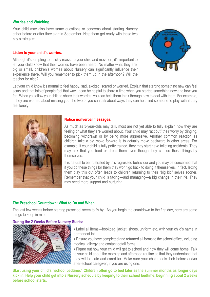# **Worries and Watching**

Your child may also have some questions or concerns about starting Nursery either before or after they start in September. Help them get ready with these two key strategies:

#### **Listen to your child's worries.**

Although it's tempting to quickly reassure your child and move on, it's important to let your child know that their worries have been heard. No matter what they are, big or small, children's worries about Nursery can significantly influence their experience there. Will you remember to pick them up in the afternoon? Will the teacher be nice?



Let your child know it's normal to feel happy, sad, excited, scared or worried. Explain that starting something new can feel scary and that lots of people feel that way. It can be helpful to share a time when you started something new and how you felt. When you allow your child to share their worries, you can help them think through how to deal with them. For example, if they are worried about missing you, the two of you can talk about ways they can help find someone to play with if they feel lonely.



#### **Notice nonverbal messages.**

As much as 3-year-olds may talk, most are not yet able to fully explain how they are feeling or what they are worried about. Your child may "act out" their worry by clinging, becoming withdrawn or by being more aggressive. Another common reaction as children take a big move forward is to actually move backward in other areas. For example, if your child is fully potty trained, they may start have toileting accidents. They may ask that you feed or dress them even though they can do these things by themselves.

It is natural to be frustrated by this regressed behaviour and you may be concerned that if you do these things for them they won't go back to doing it themselves. In fact, letting them play this out often leads to children returning to their "big kid" selves sooner. Remember that your child is facing—and managing—a big change in their life. They may need more support and nurturing.

# **The Preschool Countdown: What to Do and When**

The last few weeks before starting preschool seem to fly by! As you begin the countdown to the first day, here are some things to keep in mind:

# **During the 2 Weeks Before Nursery Starts:**



- Label all items—bookbag, jacket, shoes, uniform etc. with your child's name in permanent ink.
- Ensure you have completed and returned all forms to the school office, including medical, allergy and contact detail forms.
- Figure out how your child will get to school and how they will come home. Talk to your child about the morning and afternoon routine so that they understand that they will be safe and cared for. Make sure your child meets their before and/or after-school caregiver, if you are using one.

**Start using your child's "school bedtime." Children often go to bed later as the summer months as longer days kick in. Help your child get into a Nursery schedule by keeping to their school bedtime, beginning about 2 weeks before school starts.**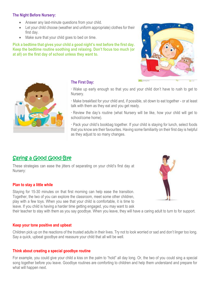# **The Night Before Nursery:**

- Answer any last-minute questions from your child.
- Let your child choose (weather and uniform appropriate) clothes for their first day.
- Make sure that your child goes to bed on time.

**Pick a bedtime that gives your child a good night's rest before the first day. Keep the bedtime routine soothing and relaxing. Don't focus too much (or at all) on the first day of school unless they want to.**





# **The First Day:**

· Wake up early enough so that you and your child don't have to rush to get to Nursery.

· Make breakfast for your child and, if possible, sit down to eat together - or at least talk with them as they eat and you get ready.

· Review the day's routine (what Nursery will be like, how your child will get to school/come home).

· Pack your child's bookbag together. If your child is staying for lunch, select foods that you know are their favourites. Having some familiarity on their first day is helpful as they adjust to so many changes.

# Saying a Good Good-Bye

These strategies can ease the jitters of separating on your child's first day at Nursery:

# **Plan to stay a little while**

Staying for 15-30 minutes on that first morning can help ease the transition. Together, the two of you can explore the classroom, meet some other children, play with a few toys. When you see that your child is comfortable, it is time to leave. If you child is having a harder time getting engaged, you may want to ask



their teacher to stay with them as you say goodbye. When you leave, they will have a caring adult to turn to for support.

# **Keep your tone positive and upbeat**

Children pick up on the reactions of the trusted adults in their lives. Try not to look worried or sad and don't linger too long. Say a quick, upbeat goodbye and reassure your child that all will be well.

# **Think about creating a special goodbye routine**

For example, you could give your child a kiss on the palm to "hold" all day long. Or, the two of you could sing a special song together before you leave. Goodbye routines are comforting to children and help them understand and prepare for what will happen next.